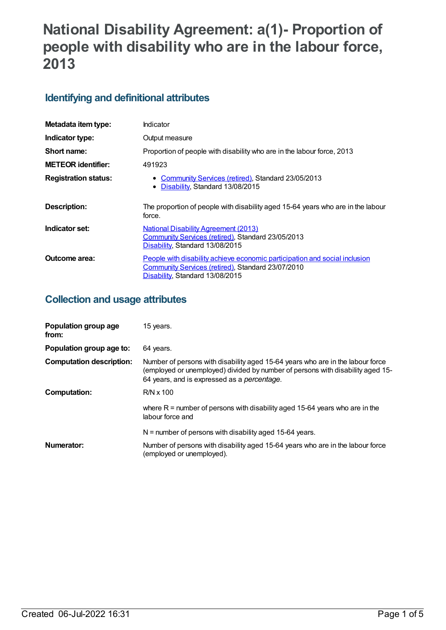# **National Disability Agreement: a(1)- Proportion of people with disability who are in the labour force, 2013**

## **Identifying and definitional attributes**

| Metadata item type:         | Indicator                                                                                                                                                          |
|-----------------------------|--------------------------------------------------------------------------------------------------------------------------------------------------------------------|
| Indicator type:             | Output measure                                                                                                                                                     |
| Short name:                 | Proportion of people with disability who are in the labour force, 2013                                                                                             |
| <b>METEOR identifier:</b>   | 491923                                                                                                                                                             |
| <b>Registration status:</b> | • Community Services (retired), Standard 23/05/2013<br>• Disability, Standard 13/08/2015                                                                           |
| <b>Description:</b>         | The proportion of people with disability aged 15-64 years who are in the labour<br>force.                                                                          |
| Indicator set:              | <b>National Disability Agreement (2013)</b><br>Community Services (retired), Standard 23/05/2013<br>Disability, Standard 13/08/2015                                |
| Outcome area:               | People with disability achieve economic participation and social inclusion<br>Community Services (retired), Standard 23/07/2010<br>Disability, Standard 13/08/2015 |

## **Collection and usage attributes**

| Population group age<br>from:   | 15 years.                                                                                                                                                                                                               |
|---------------------------------|-------------------------------------------------------------------------------------------------------------------------------------------------------------------------------------------------------------------------|
| Population group age to:        | 64 years.                                                                                                                                                                                                               |
| <b>Computation description:</b> | Number of persons with disability aged 15-64 years who are in the labour force<br>(employed or unemployed) divided by number of persons with disability aged 15-<br>64 years, and is expressed as a <i>percentage</i> . |
| Computation:                    | $R/N \times 100$                                                                                                                                                                                                        |
|                                 | where $R =$ number of persons with disability aged 15-64 years who are in the<br>labour force and                                                                                                                       |
|                                 | $N$ = number of persons with disability aged 15-64 years.                                                                                                                                                               |
| Numerator:                      | Number of persons with disability aged 15-64 years who are in the labour force<br>(employed or unemployed).                                                                                                             |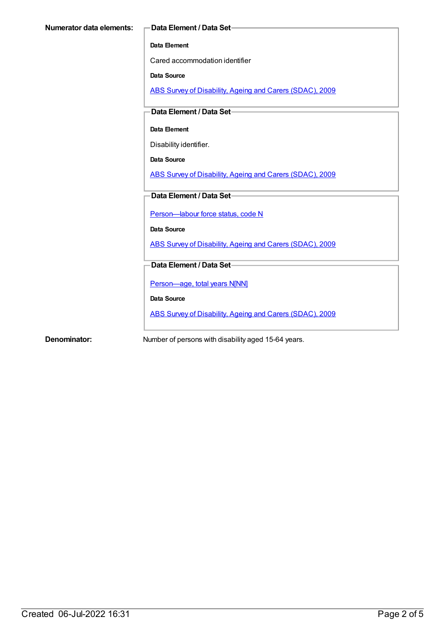#### **Data Element**

Cared accommodation identifier

**Data Source**

ABS Survey of [Disability,](https://meteor.aihw.gov.au/content/445288) Ageing and Carers (SDAC), 2009

**Data Element / Data Set**

#### **Data Element**

Disability identifier.

**Data Source**

ABS Survey of [Disability,](https://meteor.aihw.gov.au/content/445288) Ageing and Carers (SDAC), 2009

**Data Element / Data Set**

Person-labour force status, code N

**Data Source**

ABS Survey of [Disability,](https://meteor.aihw.gov.au/content/445288) Ageing and Carers (SDAC), 2009

**Data Element / Data Set**

[Person—age,](https://meteor.aihw.gov.au/content/303794) total years N[NN]

**Data Source**

ABS Survey of [Disability,](https://meteor.aihw.gov.au/content/445288) Ageing and Carers (SDAC), 2009

**Denominator:** Number of persons with disability aged 15-64 years.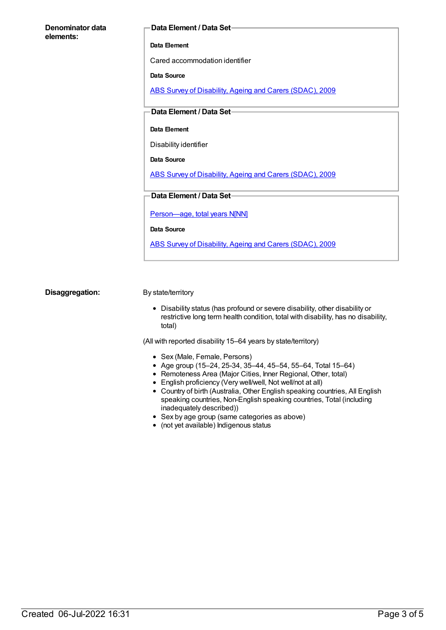| Denominator data<br>elements: | Data Ele  |
|-------------------------------|-----------|
|                               | Data Elem |
|                               | Cared ac  |
|                               |           |

#### **Data Element / Data Set**

**Dent** 

commodation identifier

**Data Source**

ABS Survey of [Disability,](https://meteor.aihw.gov.au/content/445288) Ageing and Carers (SDAC), 2009

**Data Element / Data Set**

#### **Data Element**

Disability identifier

**Data Source**

ABS Survey of [Disability,](https://meteor.aihw.gov.au/content/445288) Ageing and Carers (SDAC), 2009

**Data Element / Data Set**

[Person—age,](https://meteor.aihw.gov.au/content/303794) total years N[NN]

**Data Source**

ABS Survey of [Disability,](https://meteor.aihw.gov.au/content/445288) Ageing and Carers (SDAC), 2009

**Disaggregation:** By state/territory

Disability status (has profound or severe disability, other disability or restrictive long term health condition, total with disability, has no disability, total)

(All with reported disability 15–64 years by state/territory)

- Sex (Male, Female, Persons)
- Age group (15–24, 25-34, 35–44, 45–54, 55–64, Total 15–64)
- Remoteness Area (Major Cities, Inner Regional, Other, total)
- English proficiency (Very well/well, Not well/not at all)
- Country of birth (Australia, Other English speaking countries, All English speaking countries, Non-English speaking countries, Total (including inadequately described))
- Sex by age group (same categories as above)
- (not yet available) Indigenous status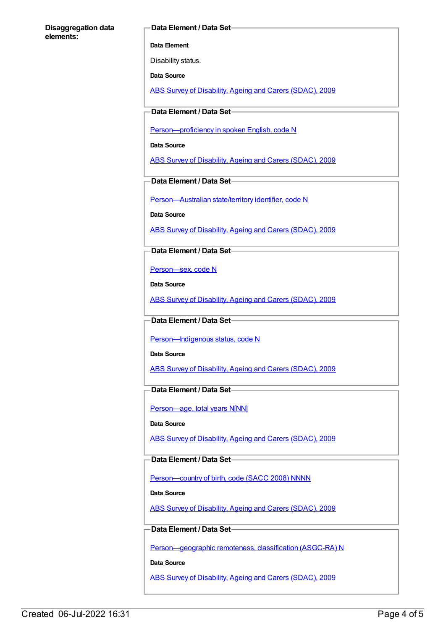#### **Disaggregation data elements:**

#### **Data Element / Data Set**

**Data Element**

Disability status.

**Data Source**

ABS Survey of [Disability,](https://meteor.aihw.gov.au/content/445288) Ageing and Carers (SDAC), 2009

**Data Element / Data Set**

[Person—proficiency](https://meteor.aihw.gov.au/content/270203) in spoken English, code N

**Data Source**

ABS Survey of [Disability,](https://meteor.aihw.gov.au/content/445288) Ageing and Carers (SDAC), 2009

**Data Element / Data Set**

[Person—Australian](https://meteor.aihw.gov.au/content/286919) state/territory identifier, code N

**Data Source**

ABS Survey of [Disability,](https://meteor.aihw.gov.au/content/445288) Ageing and Carers (SDAC), 2009

**Data Element / Data Set**

[Person—sex,](https://meteor.aihw.gov.au/content/287316) code N

**Data Source**

ABS Survey of [Disability,](https://meteor.aihw.gov.au/content/445288) Ageing and Carers (SDAC), 2009

#### **Data Element / Data Set**

Person-Indigenous status, code N

**Data Source**

ABS Survey of [Disability,](https://meteor.aihw.gov.au/content/445288) Ageing and Carers (SDAC), 2009

### **Data Element / Data Set**

Person-age, total years N[NN]

**Data Source**

ABS Survey of [Disability,](https://meteor.aihw.gov.au/content/445288) Ageing and Carers (SDAC), 2009

#### **Data Element / Data Set**

Person-country of birth, code (SACC 2008) NNNN

**Data Source**

ABS Survey of [Disability,](https://meteor.aihw.gov.au/content/445288) Ageing and Carers (SDAC), 2009

### **Data Element / Data Set**

[Person—geographic](https://meteor.aihw.gov.au/content/489826) remoteness, classification (ASGC-RA) N

**Data Source**

ABS Survey of [Disability,](https://meteor.aihw.gov.au/content/445288) Ageing and Carers (SDAC), 2009